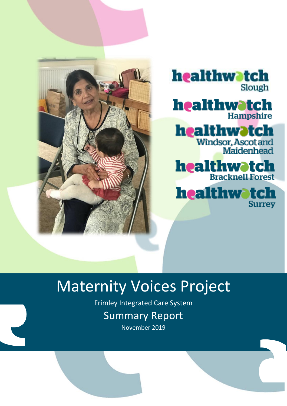



**healthwotch** 

healthwatch

Windsor, Ascot and<br>Maidenhead





# Maternity Voices Project

Frimley Integrated Care System Summary Report

November 2019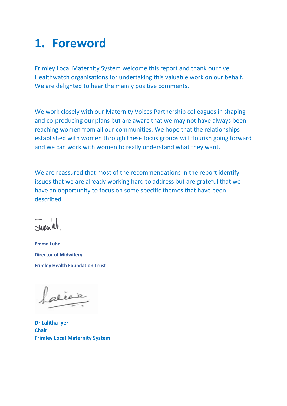## **1. Foreword**

Frimley Local Maternity System welcome this report and thank our five Healthwatch organisations for undertaking this valuable work on our behalf. We are delighted to hear the mainly positive comments.

We work closely with our Maternity Voices Partnership colleagues in shaping and co-producing our plans but are aware that we may not have always been reaching women from all our communities. We hope that the relationships established with women through these focus groups will flourish going forward and we can work with women to really understand what they want.

We are reassured that most of the recommendations in the report identify issues that we are already working hard to address but are grateful that we have an opportunity to focus on some specific themes that have been described.

Julius W.

**Emma Luhr Director of Midwifery Frimley Health Foundation Trust**

**Dr Lalitha Iyer Chair Frimley Local Maternity System**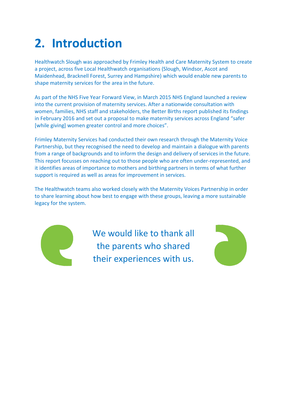# **2. Introduction**

Healthwatch Slough was approached by Frimley Health and Care Maternity System to create a project, across five Local Healthwatch organisations (Slough, Windsor, Ascot and Maidenhead, Bracknell Forest, Surrey and Hampshire) which would enable new parents to shape maternity services for the area in the future.

As part of the NHS Five Year Forward View, in March 2015 NHS England launched a review into the current provision of maternity services. After a nationwide consultation with women, families, NHS staff and stakeholders, the Better Births report published its findings in February 2016 and set out a proposal to make maternity services across England "safer [while giving] women greater control and more choices".

Frimley Maternity Services had conducted their own research through the Maternity Voice Partnership, but they recognised the need to develop and maintain a dialogue with parents from a range of backgrounds and to inform the design and delivery of services in the future. This report focusses on reaching out to those people who are often under-represented, and it identifies areas of importance to mothers and birthing partners in terms of what further support is required as well as areas for improvement in services.

The Healthwatch teams also worked closely with the Maternity Voices Partnership in order to share learning about how best to engage with these groups, leaving a more sustainable legacy for the system.



We would like to thank all the parents who shared their experiences with us.

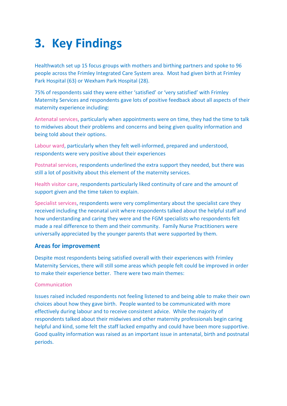## **3. Key Findings**

Healthwatch set up 15 focus groups with mothers and birthing partners and spoke to 96 people across the Frimley Integrated Care System area. Most had given birth at Frimley Park Hospital (63) or Wexham Park Hospital (28).

75% of respondents said they were either 'satisfied' or 'very satisfied' with Frimley Maternity Services and respondents gave lots of positive feedback about all aspects of their maternity experience including:

Antenatal services, particularly when appointments were on time, they had the time to talk to midwives about their problems and concerns and being given quality information and being told about their options.

Labour ward, particularly when they felt well-informed, prepared and understood, respondents were very positive about their experiences

Postnatal services, respondents underlined the extra support they needed, but there was still a lot of positivity about this element of the maternity services.

Health visitor care, respondents particularly liked continuity of care and the amount of support given and the time taken to explain.

Specialist services, respondents were very complimentary about the specialist care they received including the neonatal unit where respondents talked about the helpful staff and how understanding and caring they were and the FGM specialists who respondents felt made a real difference to them and their community. Family Nurse Practitioners were universally appreciated by the younger parents that were supported by them.

## **Areas for improvement**

Despite most respondents being satisfied overall with their experiences with Frimley Maternity Services, there will still some areas which people felt could be improved in order to make their experience better. There were two main themes:

## Communication

Issues raised included respondents not feeling listened to and being able to make their own choices about how they gave birth. People wanted to be communicated with more effectively during labour and to receive consistent advice. While the majority of respondents talked about their midwives and other maternity professionals begin caring helpful and kind, some felt the staff lacked empathy and could have been more supportive. Good quality information was raised as an important issue in antenatal, birth and postnatal periods.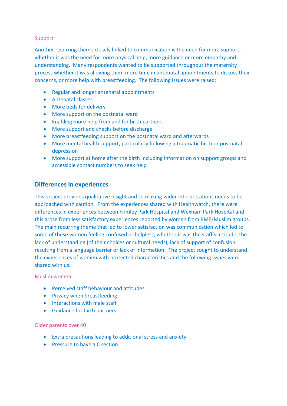#### Support

Another recurring theme closely linked to communication is the need for more support; whether it was the need for more physical help, more guidance or more empathy and understanding. Many respondents wanted to be supported throughout the maternity process whether it was allowing them more time in antenatal appointments to discuss their concerns, or more help with breastfeeding. The following issues were raised:

- Regular and longer antenatal appointments
- Antenatal classes
- More beds for delivery
- More support on the postnatal ward
- Enabling more help from and for birth partners
- More support and checks before discharge
- More breastfeeding support on the postnatal ward and afterwards
- More mental health support, particularly following a traumatic birth or postnatal depression
- More support at home after the birth including information on support groups and accessible contact numbers to seek help

## **Differences in experiences**

This project provides qualitative insight and so making wider interpretations needs to be approached with caution. From the experiences shared with Healthwatch, there were differences in experiences between Frimley Park Hospital and Wexham Park Hospital and this arose from less satisfactory experiences reported by women from BME/Muslim groups. The main recurring theme that led to lower satisfaction was communication which led to some of these women feeling confused or helpless; whether it was the staff's attitude, the lack of understanding (of their choices or cultural needs), lack of support of confusion resulting from a language barrier or lack of information. The project sought to understand the experiences of women with protected characteristics and the following issues were shared with us:

#### Muslim women

- Perceived staff behaviour and attitudes
- Privacy when breastfeeding
- Interactions with male staff
- Guidance for birth partners

#### Older parents over 40

- Extra precautions leading to additional stress and anxiety
- Pressure to have a C section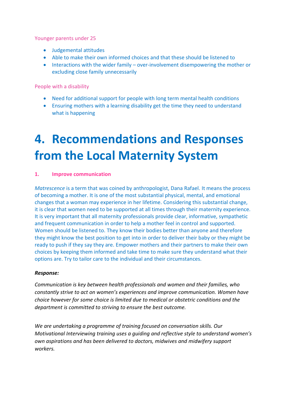Younger parents under 25

- Judgemental attitudes
- Able to make their own informed choices and that these should be listened to
- Interactions with the wider family over-involvement disempowering the mother or excluding close family unnecessarily

People with a disability

- Need for additional support for people with long term mental health conditions
- Ensuring mothers with a learning disability get the time they need to understand what is happening

# **4. Recommendations and Responses from the Local Maternity System**

#### **1. Improve communication**

*Matrescence* is a term that was coined by anthropologist, Dana Rafael. It means the process of becoming a mother. It is one of the most substantial physical, mental, and emotional changes that a woman may experience in her lifetime. Considering this substantial change, it is clear that women need to be supported at all times through their maternity experience. It is very important that all maternity professionals provide clear, informative, sympathetic and frequent communication in order to help a mother feel in control and supported. Women should be listened to. They know their bodies better than anyone and therefore they might know the best position to get into in order to deliver their baby or they might be ready to push if they say they are. Empower mothers and their partners to make their own choices by keeping them informed and take time to make sure they understand what their options are. Try to tailor care to the individual and their circumstances.

#### *Response:*

*Communication is key between health professionals and women and their families, who constantly strive to act on women's experiences and improve communication. Women have choice however for some choice is limited due to medical or obstetric conditions and the department is committed to striving to ensure the best outcome.* 

*We are undertaking a programme of training focused on conversation skills. Our Motivational Interviewing training uses a guiding and reflective style to understand women's own aspirations and has been delivered to doctors, midwives and midwifery support workers.*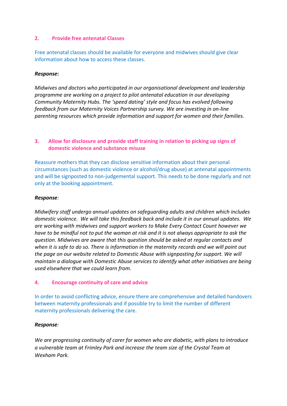### **2. Provide free antenatal Classes**

Free antenatal classes should be available for everyone and midwives should give clear information about how to access these classes.

#### *Response***:**

*Midwives and doctors who participated in our organisational development and leadership programme are working on a project to pilot antenatal education in our developing Community Maternity Hubs. The 'speed dating' style and focus has evolved following feedback from our Maternity Voices Partnership survey. We are investing in on-line parenting resources which provide information and support for women and their families.*

## **3. Allow for disclosure and provide staff training in relation to picking up signs of domestic violence and substance misuse**

Reassure mothers that they can disclose sensitive information about their personal circumstances (such as domestic violence or alcohol/drug abuse) at antenatal appointments and will be signposted to non-judgemental support. This needs to be done regularly and not only at the booking appointment.

### *Response:*

*Midwifery staff undergo annual updates on safeguarding adults and children which includes domestic violence. We will take this feedback back and include it in our annual updates. We are working with midwives and support workers to Make Every Contact Count however we have to be mindful not to put the woman at risk and it is not always appropriate to ask the question. Midwives are aware that this question should be asked at regular contacts and when it is safe to do so. There is information in the maternity records and we will point out the page on our website related to Domestic Abuse with signposting for support. We will maintain a dialogue with Domestic Abuse services to identify what other initiatives are being used elsewhere that we could learn from.*

## **4. Encourage continuity of care and advice**

In order to avoid conflicting advice, ensure there are comprehensive and detailed handovers between maternity professionals and if possible try to limit the number of different maternity professionals delivering the care.

## *Response:*

*We are progressing continuity of carer for women who are diabetic, with plans to introduce a vulnerable team at Frimley Park and increase the team size of the Crystal Team at Wexham Park.*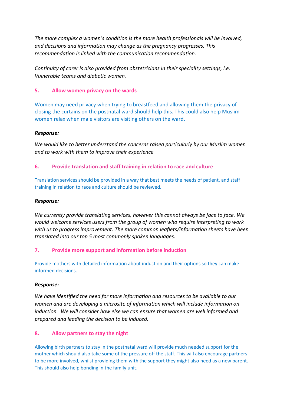*The more complex a women's condition is the more health professionals will be involved, and decisions and information may change as the pregnancy progresses. This recommendation is linked with the communication recommendation.*

*Continuity of carer is also provided from obstetricians in their speciality settings, i.e. Vulnerable teams and diabetic women.*

### **5. Allow women privacy on the wards**

Women may need privacy when trying to breastfeed and allowing them the privacy of closing the curtains on the postnatal ward should help this. This could also help Muslim women relax when male visitors are visiting others on the ward.

#### *Response:*

*We would like to better understand the concerns raised particularly by our Muslim women and to work with them to improve their experience*

## **6. Provide translation and staff training in relation to race and culture**

Translation services should be provided in a way that best meets the needs of patient, and staff training in relation to race and culture should be reviewed.

#### *Response:*

*We currently provide translating services, however this cannot always be face to face. We would welcome services users from the group of women who require interpreting to work with us to progress improvement. The more common leaflets/information sheets have been translated into our top 5 most commonly spoken languages.*

## **7. Provide more support and information before induction**

Provide mothers with detailed information about induction and their options so they can make informed decisions.

#### *Response:*

*We have identified the need for more information and resources to be available to our women and are developing a microsite of information which will include information on induction. We will consider how else we can ensure that women are well informed and prepared and leading the decision to be induced.*

## **8. Allow partners to stay the night**

Allowing birth partners to stay in the postnatal ward will provide much needed support for the mother which should also take some of the pressure off the staff. This will also encourage partners to be more involved, whilst providing them with the support they might also need as a new parent. This should also help bonding in the family unit.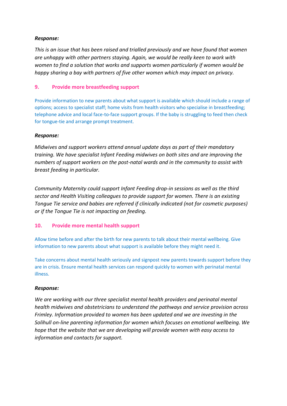### *Response:*

*This is an issue that has been raised and trialled previously and we have found that women are unhappy with other partners staying. Again, we would be really keen to work with women to find a solution that works and supports women particularly if women would be happy sharing a bay with partners of five other women which may impact on privacy.*

### **9. Provide more breastfeeding support**

Provide information to new parents about what support is available which should include a range of options; access to specialist staff; home visits from health visitors who specialise in breastfeeding; telephone advice and local face-to-face support groups. If the baby is struggling to feed then check for tongue-tie and arrange prompt treatment.

### *Response:*

*Midwives and support workers attend annual update days as part of their mandatory training. We have specialist Infant Feeding midwives on both sites and are improving the numbers of support workers on the post-natal wards and in the community to assist with breast feeding in particular.* 

*Community Maternity could support Infant Feeding drop-in sessions as well as the third sector and Health Visiting colleagues to provide support for women. There is an existing Tongue Tie service and babies are referred if clinically indicated (not for cosmetic purposes) or if the Tongue Tie is not impacting on feeding.*

## **10. Provide more mental health support**

Allow time before and after the birth for new parents to talk about their mental wellbeing. Give information to new parents about what support is available before they might need it.

Take concerns about mental health seriously and signpost new parents towards support before they are in crisis. Ensure mental health services can respond quickly to women with perinatal mental illness.

#### *Response:*

*We are working with our three specialist mental health providers and perinatal mental health midwives and obstetricians to understand the pathways and service provision across Frimley. Information provided to women has been updated and we are investing in the Solihull on-line parenting information for women which focuses on emotional wellbeing. We hope that the website that we are developing will provide women with easy access to information and contacts for support.*